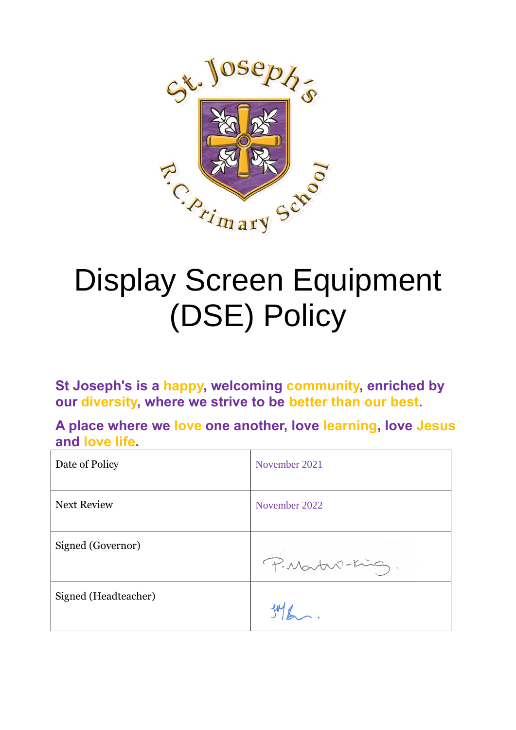

# Display Screen Equipment (DSE) Policy

**St Joseph's is a happy, welcoming community, enriched by our diversity, where we strive to be better than our best.**

**A place where we love one another, love learning, love Jesus and love life.**

| Date of Policy       | November 2021   |
|----------------------|-----------------|
| <b>Next Review</b>   | November 2022   |
| Signed (Governor)    | P. Martin-King. |
| Signed (Headteacher) |                 |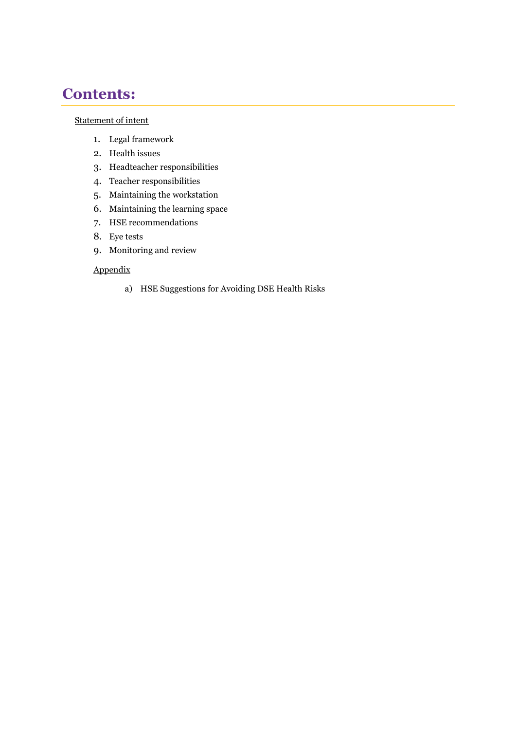## **Contents:**

#### [Statement of intent](#page-2-0)

- 1. [Legal framework](#page-2-1)
- 2. [Health issues](#page-3-0)
- 3. [Headteacher responsibilities](#page-3-1)
- 4. [Teacher responsibilities](#page-3-2)
- 5. [Maintaining the workstation](#page-4-0)
- 6. [Maintaining the learning space](#page-4-1)
- 7. [HSE recommendations](#page-4-2)
- 8. [Eye tests](#page-5-0)
- 9. [Monitoring and review](#page-5-1)

#### Appendix

a) [HSE Suggestions for Avoiding DSE Health Risks](#page-5-2)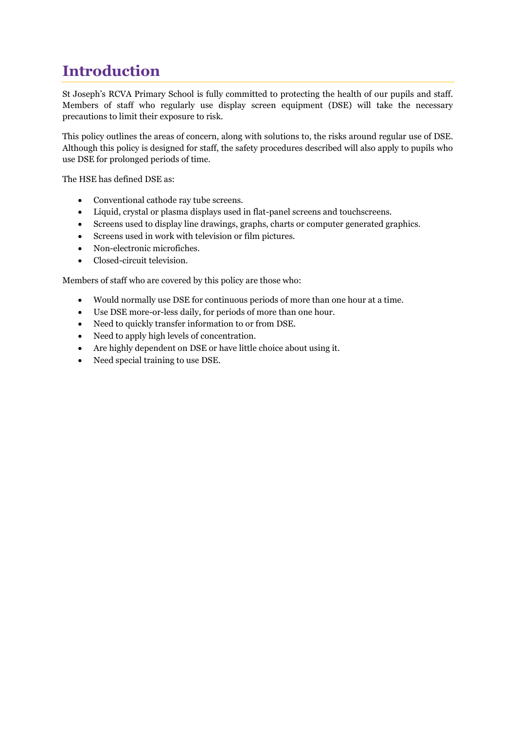# <span id="page-2-0"></span>**Introduction**

St Joseph's RCVA Primary School is fully committed to protecting the health of our pupils and staff. Members of staff who regularly use display screen equipment (DSE) will take the necessary precautions to limit their exposure to risk.

This policy outlines the areas of concern, along with solutions to, the risks around regular use of DSE. Although this policy is designed for staff, the safety procedures described will also apply to pupils who use DSE for prolonged periods of time.

The HSE has defined DSE as:

- Conventional cathode ray tube screens.
- Liquid, crystal or plasma displays used in flat-panel screens and touchscreens.
- Screens used to display line drawings, graphs, charts or computer generated graphics.
- Screens used in work with television or film pictures.
- Non-electronic microfiches.
- Closed-circuit television.

Members of staff who are covered by this policy are those who:

- Would normally use DSE for continuous periods of more than one hour at a time.
- Use DSE more-or-less daily, for periods of more than one hour.
- Need to quickly transfer information to or from DSE.
- Need to apply high levels of concentration.
- Are highly dependent on DSE or have little choice about using it.
- <span id="page-2-1"></span>• Need special training to use DSE.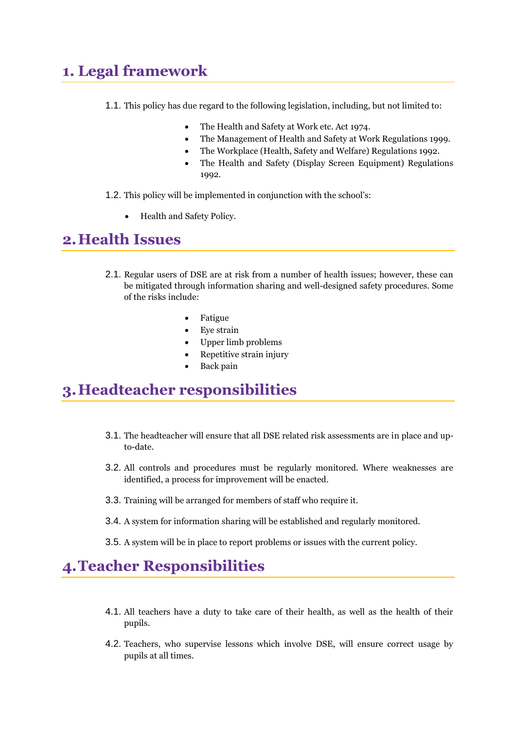# **1. Legal framework**

- 1.1. This policy has due regard to the following legislation, including, but not limited to:
	- The Health and Safety at Work etc. Act 1974.
	- The Management of Health and Safety at Work Regulations 1999.
	- The Workplace (Health, Safety and Welfare) Regulations 1992.
	- The Health and Safety (Display Screen Equipment) Regulations 1992.
- 1.2. This policy will be implemented in conjunction with the school's:
	- Health and Safety Policy.

#### <span id="page-3-0"></span>**2.Health Issues**

- 2.1. Regular users of DSE are at risk from a number of health issues; however, these can be mitigated through information sharing and well-designed safety procedures. Some of the risks include:
	- Fatigue
	- Eye strain
	- Upper limb problems
	- Repetitive strain injury
	- Back pain

#### <span id="page-3-1"></span>**3.Headteacher responsibilities**

- 3.1. The headteacher will ensure that all DSE related risk assessments are in place and upto-date.
- 3.2. All controls and procedures must be regularly monitored. Where weaknesses are identified, a process for improvement will be enacted.
- 3.3. Training will be arranged for members of staff who require it.
- 3.4. A system for information sharing will be established and regularly monitored.
- 3.5. A system will be in place to report problems or issues with the current policy.

#### <span id="page-3-2"></span>**4.Teacher Responsibilities**

- 4.1. All teachers have a duty to take care of their health, as well as the health of their pupils.
- 4.2. Teachers, who supervise lessons which involve DSE, will ensure correct usage by pupils at all times.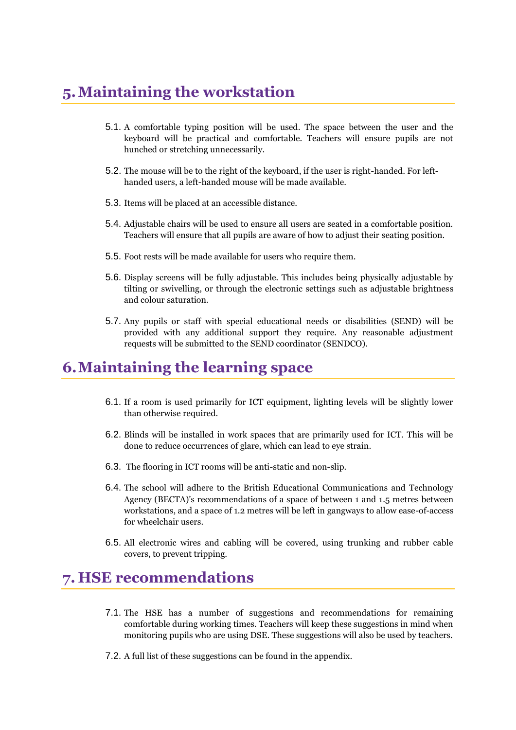# <span id="page-4-0"></span>**5.Maintaining the workstation**

- 5.1. A comfortable typing position will be used. The space between the user and the keyboard will be practical and comfortable. Teachers will ensure pupils are not hunched or stretching unnecessarily.
- 5.2. The mouse will be to the right of the keyboard, if the user is right-handed. For lefthanded users, a left-handed mouse will be made available.
- 5.3. Items will be placed at an accessible distance.
- 5.4. Adjustable chairs will be used to ensure all users are seated in a comfortable position. Teachers will ensure that all pupils are aware of how to adjust their seating position.
- 5.5. Foot rests will be made available for users who require them.
- 5.6. Display screens will be fully adjustable. This includes being physically adjustable by tilting or swivelling, or through the electronic settings such as adjustable brightness and colour saturation.
- 5.7. Any pupils or staff with special educational needs or disabilities (SEND) will be provided with any additional support they require. Any reasonable adjustment requests will be submitted to the SEND coordinator (SENDCO).

### <span id="page-4-1"></span>**6.Maintaining the learning space**

- 6.1. If a room is used primarily for ICT equipment, lighting levels will be slightly lower than otherwise required.
- 6.2. Blinds will be installed in work spaces that are primarily used for ICT. This will be done to reduce occurrences of glare, which can lead to eye strain.
- 6.3. The flooring in ICT rooms will be anti-static and non-slip.
- 6.4. The school will adhere to the British Educational Communications and Technology Agency (BECTA)'s recommendations of a space of between 1 and 1.5 metres between workstations, and a space of 1.2 metres will be left in gangways to allow ease-of-access for wheelchair users.
- 6.5. All electronic wires and cabling will be covered, using trunking and rubber cable covers, to prevent tripping.

#### <span id="page-4-2"></span>**7. HSE recommendations**

- 7.1. The HSE has a number of suggestions and recommendations for remaining comfortable during working times. Teachers will keep these suggestions in mind when monitoring pupils who are using DSE. These suggestions will also be used by teachers.
- 7.2. A full list of these suggestions can be found in the [appendix.](#page-5-2)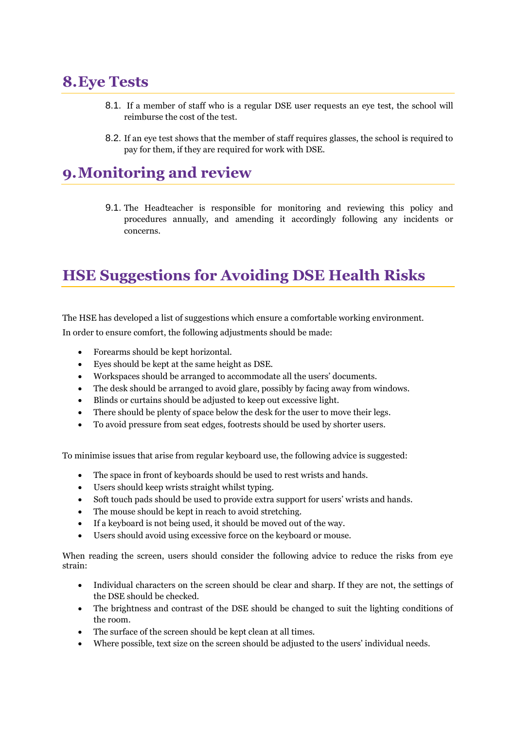#### <span id="page-5-0"></span>**8.Eye Tests**

- 8.1. If a member of staff who is a regular DSE user requests an eye test, the school will reimburse the cost of the test.
- 8.2. If an eye test shows that the member of staff requires glasses, the school is required to pay for them, if they are required for work with DSE.

## <span id="page-5-1"></span>**9.Monitoring and review**

9.1. The Headteacher is responsible for monitoring and reviewing this policy and procedures annually, and amending it accordingly following any incidents or concerns.

# <span id="page-5-2"></span>**HSE Suggestions for Avoiding DSE Health Risks**

The HSE has developed a list of suggestions which ensure a comfortable working environment.

In order to ensure comfort, the following adjustments should be made:

- Forearms should be kept horizontal.
- Eyes should be kept at the same height as DSE.
- Workspaces should be arranged to accommodate all the users' documents.
- The desk should be arranged to avoid glare, possibly by facing away from windows.
- Blinds or curtains should be adjusted to keep out excessive light.
- There should be plenty of space below the desk for the user to move their legs.
- To avoid pressure from seat edges, footrests should be used by shorter users.

To minimise issues that arise from regular keyboard use, the following advice is suggested:

- The space in front of keyboards should be used to rest wrists and hands.
- Users should keep wrists straight whilst typing.
- Soft touch pads should be used to provide extra support for users' wrists and hands.
- The mouse should be kept in reach to avoid stretching.
- If a keyboard is not being used, it should be moved out of the way.
- Users should avoid using excessive force on the keyboard or mouse.

When reading the screen, users should consider the following advice to reduce the risks from eye strain:

- Individual characters on the screen should be clear and sharp. If they are not, the settings of the DSE should be checked.
- The brightness and contrast of the DSE should be changed to suit the lighting conditions of the room.
- The surface of the screen should be kept clean at all times.
- Where possible, text size on the screen should be adjusted to the users' individual needs.